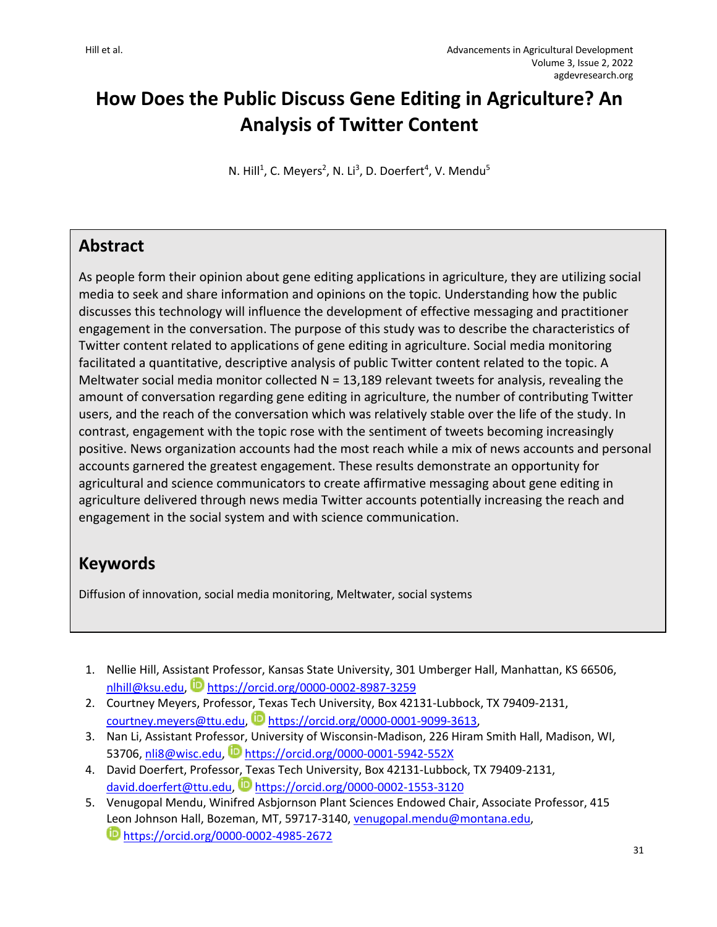# **How Does the Public Discuss Gene Editing in Agriculture? An Analysis of Twitter Content**

N. Hill<sup>1</sup>, C. Meyers<sup>2</sup>, N. Li<sup>3</sup>, D. Doerfert<sup>4</sup>, V. Mendu<sup>5</sup>

## **Abstract**

As people form their opinion about gene editing applications in agriculture, they are utilizing social media to seek and share information and opinions on the topic. Understanding how the public discusses this technology will influence the development of effective messaging and practitioner engagement in the conversation. The purpose of this study was to describe the characteristics of Twitter content related to applications of gene editing in agriculture. Social media monitoring facilitated a quantitative, descriptive analysis of public Twitter content related to the topic. A Meltwater social media monitor collected  $N = 13,189$  relevant tweets for analysis, revealing the amount of conversation regarding gene editing in agriculture, the number of contributing Twitter users, and the reach of the conversation which was relatively stable over the life of the study. In contrast, engagement with the topic rose with the sentiment of tweets becoming increasingly positive. News organization accounts had the most reach while a mix of news accounts and personal accounts garnered the greatest engagement. These results demonstrate an opportunity for agricultural and science communicators to create affirmative messaging about gene editing in agriculture delivered through news media Twitter accounts potentially increasing the reach and engagement in the social system and with science communication.

## **Keywords**

Diffusion of innovation, social media monitoring, Meltwater, social systems

- 1. Nellie Hill, Assistant Professor, Kansas State University, 301 Umberger Hall, Manhattan, KS 66506, nlhill@ksu.edu, https://orcid.org/0000-0002-8987-3259
- 2. Courtney Meyers, Professor, Texas Tech University, Box 42131-Lubbock, TX 79409-2131, courtney.meyers@ttu.edu, https://orcid.org/0000-0001-9099-3613,
- 3. Nan Li, Assistant Professor, University of Wisconsin-Madison, 226 Hiram Smith Hall, Madison, WI, 53706, nli8@wisc.edu, Dhttps://orcid.org/0000-0001-5942-552X
- 4. David Doerfert, Professor, Texas Tech University, Box 42131-Lubbock, TX 79409-2131, david.doerfert@ttu.edu, Dhttps://orcid.org/0000-0002-1553-3120
- 5. Venugopal Mendu, Winifred Asbjornson Plant Sciences Endowed Chair, Associate Professor, 415 Leon Johnson Hall, Bozeman, MT, 59717-3140, venugopal.mendu@montana.edu, https://orcid.org/0000-0002-4985-2672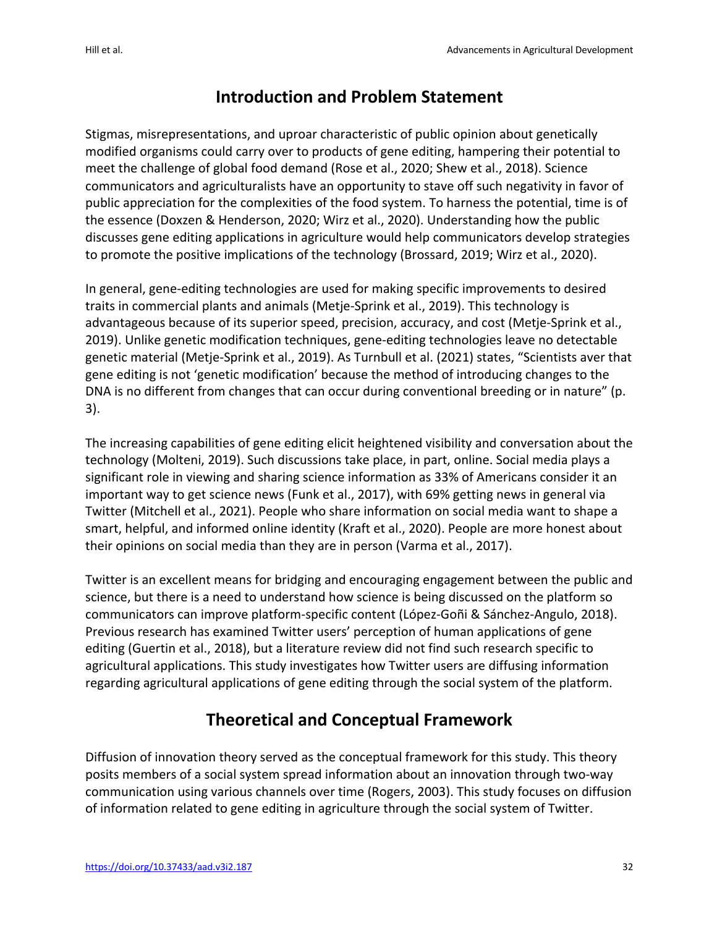## **Introduction and Problem Statement**

Stigmas, misrepresentations, and uproar characteristic of public opinion about genetically modified organisms could carry over to products of gene editing, hampering their potential to meet the challenge of global food demand (Rose et al., 2020; Shew et al., 2018). Science communicators and agriculturalists have an opportunity to stave off such negativity in favor of public appreciation for the complexities of the food system. To harness the potential, time is of the essence (Doxzen & Henderson, 2020; Wirz et al., 2020). Understanding how the public discusses gene editing applications in agriculture would help communicators develop strategies to promote the positive implications of the technology (Brossard, 2019; Wirz et al., 2020).

In general, gene-editing technologies are used for making specific improvements to desired traits in commercial plants and animals (Metje-Sprink et al., 2019). This technology is advantageous because of its superior speed, precision, accuracy, and cost (Metje-Sprink et al., 2019). Unlike genetic modification techniques, gene-editing technologies leave no detectable genetic material (Metje-Sprink et al., 2019). As Turnbull et al. (2021) states, "Scientists aver that gene editing is not 'genetic modification' because the method of introducing changes to the DNA is no different from changes that can occur during conventional breeding or in nature" (p. 3).

The increasing capabilities of gene editing elicit heightened visibility and conversation about the technology (Molteni, 2019). Such discussions take place, in part, online. Social media plays a significant role in viewing and sharing science information as 33% of Americans consider it an important way to get science news (Funk et al., 2017), with 69% getting news in general via Twitter (Mitchell et al., 2021). People who share information on social media want to shape a smart, helpful, and informed online identity (Kraft et al., 2020). People are more honest about their opinions on social media than they are in person (Varma et al., 2017).

Twitter is an excellent means for bridging and encouraging engagement between the public and science, but there is a need to understand how science is being discussed on the platform so communicators can improve platform-specific content (López-Goñi & Sánchez-Angulo, 2018). Previous research has examined Twitter users' perception of human applications of gene editing (Guertin et al., 2018), but a literature review did not find such research specific to agricultural applications. This study investigates how Twitter users are diffusing information regarding agricultural applications of gene editing through the social system of the platform.

## **Theoretical and Conceptual Framework**

Diffusion of innovation theory served as the conceptual framework for this study. This theory posits members of a social system spread information about an innovation through two-way communication using various channels over time (Rogers, 2003). This study focuses on diffusion of information related to gene editing in agriculture through the social system of Twitter.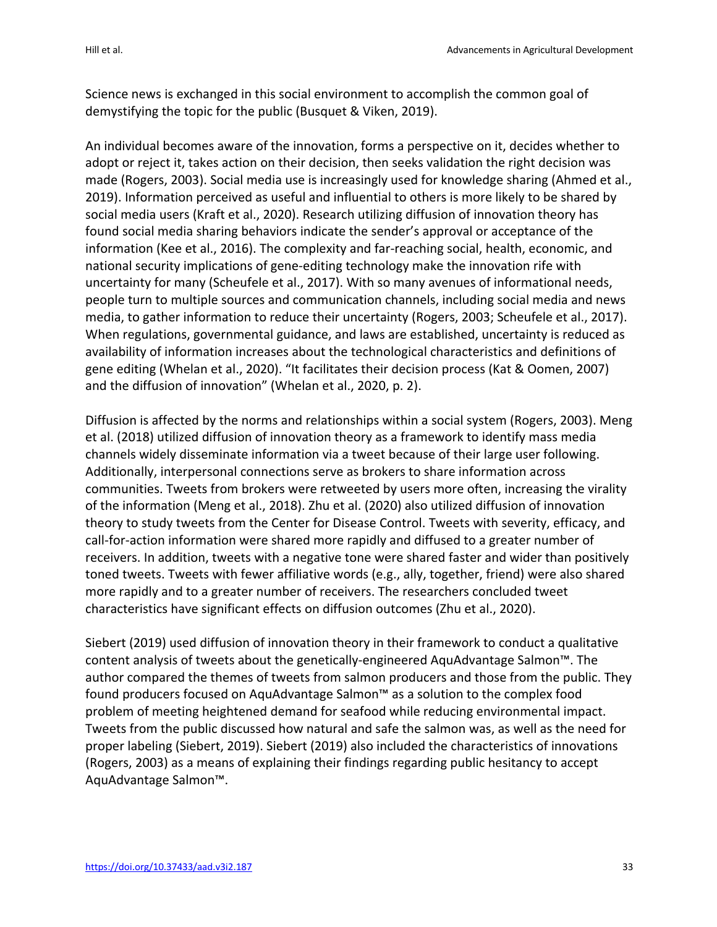Science news is exchanged in this social environment to accomplish the common goal of demystifying the topic for the public (Busquet & Viken, 2019).

An individual becomes aware of the innovation, forms a perspective on it, decides whether to adopt or reject it, takes action on their decision, then seeks validation the right decision was made (Rogers, 2003). Social media use is increasingly used for knowledge sharing (Ahmed et al., 2019). Information perceived as useful and influential to others is more likely to be shared by social media users (Kraft et al., 2020). Research utilizing diffusion of innovation theory has found social media sharing behaviors indicate the sender's approval or acceptance of the information (Kee et al., 2016). The complexity and far-reaching social, health, economic, and national security implications of gene-editing technology make the innovation rife with uncertainty for many (Scheufele et al., 2017). With so many avenues of informational needs, people turn to multiple sources and communication channels, including social media and news media, to gather information to reduce their uncertainty (Rogers, 2003; Scheufele et al., 2017). When regulations, governmental guidance, and laws are established, uncertainty is reduced as availability of information increases about the technological characteristics and definitions of gene editing (Whelan et al., 2020). "It facilitates their decision process (Kat & Oomen, 2007) and the diffusion of innovation" (Whelan et al., 2020, p. 2).

Diffusion is affected by the norms and relationships within a social system (Rogers, 2003). Meng et al. (2018) utilized diffusion of innovation theory as a framework to identify mass media channels widely disseminate information via a tweet because of their large user following. Additionally, interpersonal connections serve as brokers to share information across communities. Tweets from brokers were retweeted by users more often, increasing the virality of the information (Meng et al., 2018). Zhu et al. (2020) also utilized diffusion of innovation theory to study tweets from the Center for Disease Control. Tweets with severity, efficacy, and call-for-action information were shared more rapidly and diffused to a greater number of receivers. In addition, tweets with a negative tone were shared faster and wider than positively toned tweets. Tweets with fewer affiliative words (e.g., ally, together, friend) were also shared more rapidly and to a greater number of receivers. The researchers concluded tweet characteristics have significant effects on diffusion outcomes (Zhu et al., 2020).

Siebert (2019) used diffusion of innovation theory in their framework to conduct a qualitative content analysis of tweets about the genetically-engineered AquAdvantage Salmon™. The author compared the themes of tweets from salmon producers and those from the public. They found producers focused on AquAdvantage Salmon™ as a solution to the complex food problem of meeting heightened demand for seafood while reducing environmental impact. Tweets from the public discussed how natural and safe the salmon was, as well as the need for proper labeling (Siebert, 2019). Siebert (2019) also included the characteristics of innovations (Rogers, 2003) as a means of explaining their findings regarding public hesitancy to accept AquAdvantage Salmon™.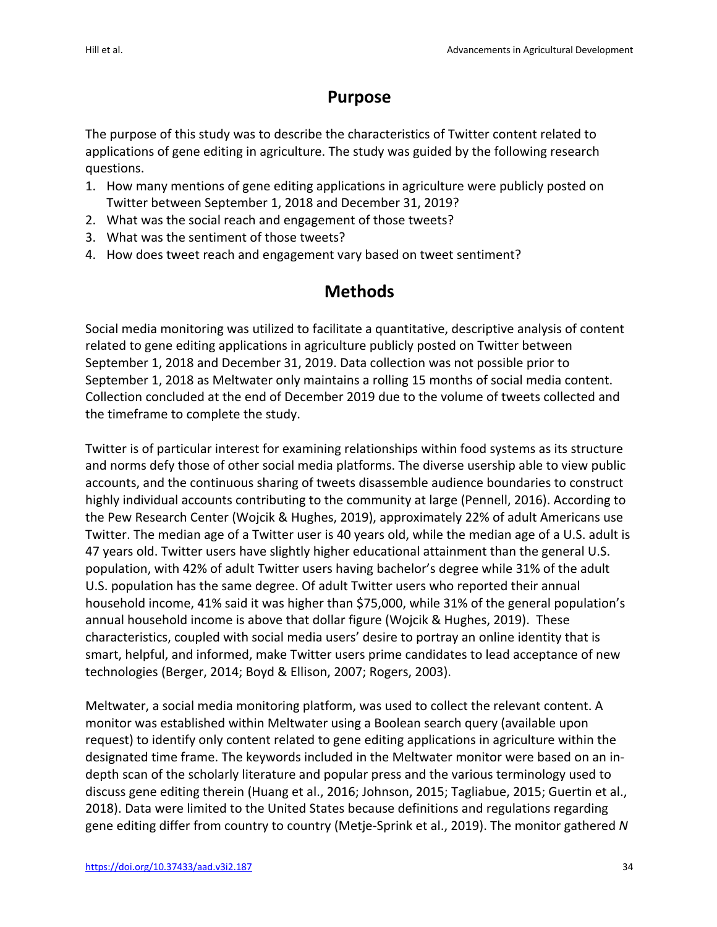## **Purpose**

The purpose of this study was to describe the characteristics of Twitter content related to applications of gene editing in agriculture. The study was guided by the following research questions.

- 1. How many mentions of gene editing applications in agriculture were publicly posted on Twitter between September 1, 2018 and December 31, 2019?
- 2. What was the social reach and engagement of those tweets?
- 3. What was the sentiment of those tweets?
- 4. How does tweet reach and engagement vary based on tweet sentiment?

## **Methods**

Social media monitoring was utilized to facilitate a quantitative, descriptive analysis of content related to gene editing applications in agriculture publicly posted on Twitter between September 1, 2018 and December 31, 2019. Data collection was not possible prior to September 1, 2018 as Meltwater only maintains a rolling 15 months of social media content. Collection concluded at the end of December 2019 due to the volume of tweets collected and the timeframe to complete the study.

Twitter is of particular interest for examining relationships within food systems as its structure and norms defy those of other social media platforms. The diverse usership able to view public accounts, and the continuous sharing of tweets disassemble audience boundaries to construct highly individual accounts contributing to the community at large (Pennell, 2016). According to the Pew Research Center (Wojcik & Hughes, 2019), approximately 22% of adult Americans use Twitter. The median age of a Twitter user is 40 years old, while the median age of a U.S. adult is 47 years old. Twitter users have slightly higher educational attainment than the general U.S. population, with 42% of adult Twitter users having bachelor's degree while 31% of the adult U.S. population has the same degree. Of adult Twitter users who reported their annual household income, 41% said it was higher than \$75,000, while 31% of the general population's annual household income is above that dollar figure (Wojcik & Hughes, 2019). These characteristics, coupled with social media users' desire to portray an online identity that is smart, helpful, and informed, make Twitter users prime candidates to lead acceptance of new technologies (Berger, 2014; Boyd & Ellison, 2007; Rogers, 2003).

Meltwater, a social media monitoring platform, was used to collect the relevant content. A monitor was established within Meltwater using a Boolean search query (available upon request) to identify only content related to gene editing applications in agriculture within the designated time frame. The keywords included in the Meltwater monitor were based on an indepth scan of the scholarly literature and popular press and the various terminology used to discuss gene editing therein (Huang et al., 2016; Johnson, 2015; Tagliabue, 2015; Guertin et al., 2018). Data were limited to the United States because definitions and regulations regarding gene editing differ from country to country (Metje-Sprink et al., 2019). The monitor gathered *N*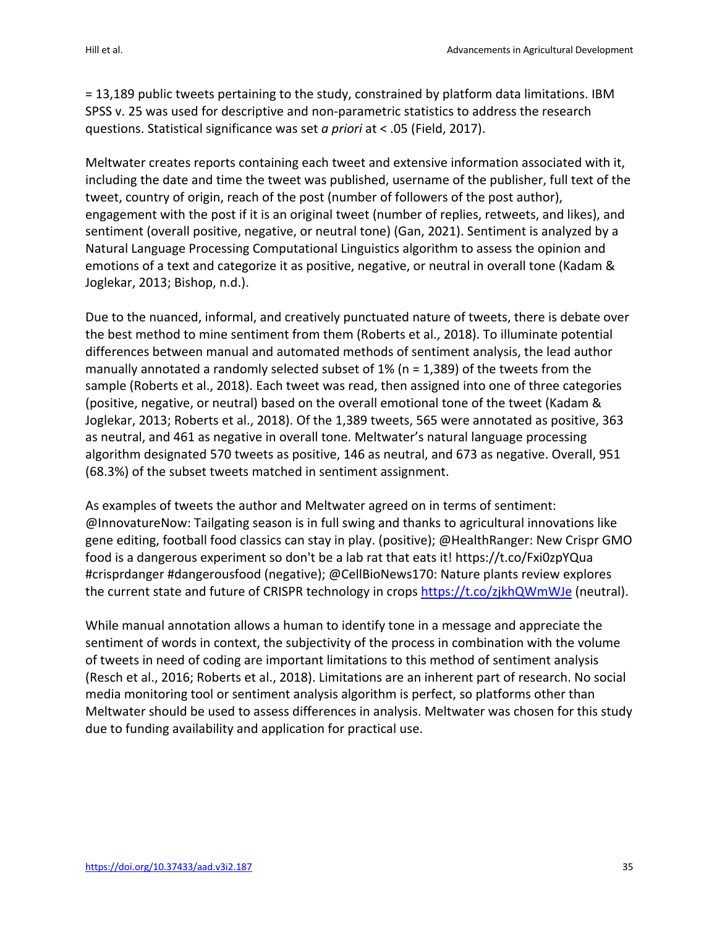= 13,189 public tweets pertaining to the study, constrained by platform data limitations. IBM SPSS v. 25 was used for descriptive and non-parametric statistics to address the research questions. Statistical significance was set *a priori* at < .05 (Field, 2017).

Meltwater creates reports containing each tweet and extensive information associated with it, including the date and time the tweet was published, username of the publisher, full text of the tweet, country of origin, reach of the post (number of followers of the post author), engagement with the post if it is an original tweet (number of replies, retweets, and likes), and sentiment (overall positive, negative, or neutral tone) (Gan, 2021). Sentiment is analyzed by a Natural Language Processing Computational Linguistics algorithm to assess the opinion and emotions of a text and categorize it as positive, negative, or neutral in overall tone (Kadam & Joglekar, 2013; Bishop, n.d.).

Due to the nuanced, informal, and creatively punctuated nature of tweets, there is debate over the best method to mine sentiment from them (Roberts et al., 2018). To illuminate potential differences between manual and automated methods of sentiment analysis, the lead author manually annotated a randomly selected subset of 1% (n = 1,389) of the tweets from the sample (Roberts et al., 2018). Each tweet was read, then assigned into one of three categories (positive, negative, or neutral) based on the overall emotional tone of the tweet (Kadam & Joglekar, 2013; Roberts et al., 2018). Of the 1,389 tweets, 565 were annotated as positive, 363 as neutral, and 461 as negative in overall tone. Meltwater's natural language processing algorithm designated 570 tweets as positive, 146 as neutral, and 673 as negative. Overall, 951 (68.3%) of the subset tweets matched in sentiment assignment.

As examples of tweets the author and Meltwater agreed on in terms of sentiment: @InnovatureNow: Tailgating season is in full swing and thanks to agricultural innovations like gene editing, football food classics can stay in play. (positive); @HealthRanger: New Crispr GMO food is a dangerous experiment so don't be a lab rat that eats it! https://t.co/Fxi0zpYQua #crisprdanger #dangerousfood (negative); @CellBioNews170: Nature plants review explores the current state and future of CRISPR technology in crops https://t.co/zjkhQWmWJe (neutral).

While manual annotation allows a human to identify tone in a message and appreciate the sentiment of words in context, the subjectivity of the process in combination with the volume of tweets in need of coding are important limitations to this method of sentiment analysis (Resch et al., 2016; Roberts et al., 2018). Limitations are an inherent part of research. No social media monitoring tool or sentiment analysis algorithm is perfect, so platforms other than Meltwater should be used to assess differences in analysis. Meltwater was chosen for this study due to funding availability and application for practical use.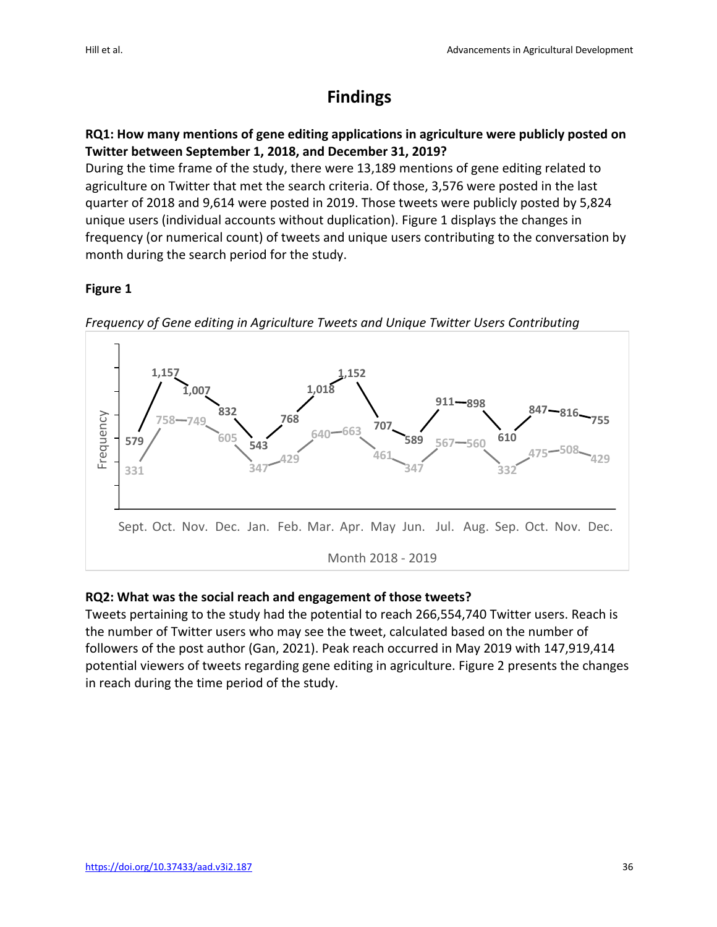## **Findings**

### **RQ1: How many mentions of gene editing applications in agriculture were publicly posted on Twitter between September 1, 2018, and December 31, 2019?**

During the time frame of the study, there were 13,189 mentions of gene editing related to agriculture on Twitter that met the search criteria. Of those, 3,576 were posted in the last quarter of 2018 and 9,614 were posted in 2019. Those tweets were publicly posted by 5,824 unique users (individual accounts without duplication). Figure 1 displays the changes in frequency (or numerical count) of tweets and unique users contributing to the conversation by month during the search period for the study.

### **Figure 1**



*Frequency of Gene editing in Agriculture Tweets and Unique Twitter Users Contributing*

### **RQ2: What was the social reach and engagement of those tweets?**

Tweets pertaining to the study had the potential to reach 266,554,740 Twitter users. Reach is the number of Twitter users who may see the tweet, calculated based on the number of followers of the post author (Gan, 2021). Peak reach occurred in May 2019 with 147,919,414 potential viewers of tweets regarding gene editing in agriculture. Figure 2 presents the changes in reach during the time period of the study.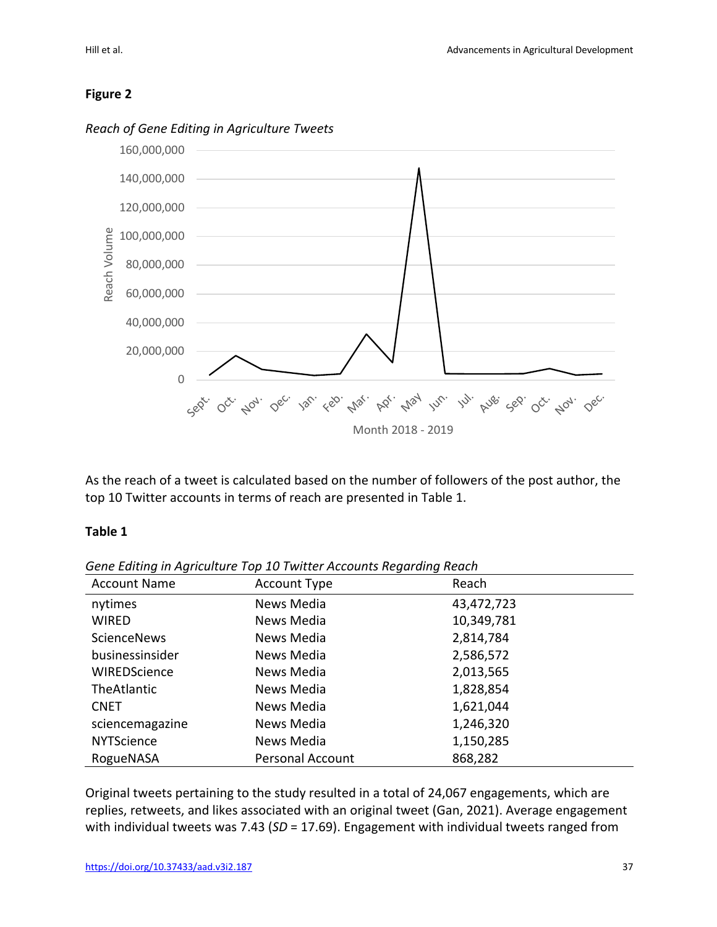### **Figure 2**



*Reach of Gene Editing in Agriculture Tweets*

As the reach of a tweet is calculated based on the number of followers of the post author, the top 10 Twitter accounts in terms of reach are presented in Table 1.

#### **Table 1**

| <b>Account Name</b> | <b>Account Type</b>     | Reach      |  |
|---------------------|-------------------------|------------|--|
| nytimes             | News Media              | 43,472,723 |  |
| <b>WIRED</b>        | News Media              | 10,349,781 |  |
| ScienceNews         | News Media              | 2,814,784  |  |
| businessinsider     | News Media              | 2,586,572  |  |
| WIREDScience        | News Media              | 2,013,565  |  |
| TheAtlantic         | News Media              | 1,828,854  |  |
| <b>CNET</b>         | News Media              | 1,621,044  |  |
| sciencemagazine     | News Media              | 1,246,320  |  |
| <b>NYTScience</b>   | News Media              | 1,150,285  |  |
| RogueNASA           | <b>Personal Account</b> | 868,282    |  |

*Gene Editing in Agriculture Top 10 Twitter Accounts Regarding Reach*

Original tweets pertaining to the study resulted in a total of 24,067 engagements, which are replies, retweets, and likes associated with an original tweet (Gan, 2021). Average engagement with individual tweets was 7.43 (SD = 17.69). Engagement with individual tweets ranged from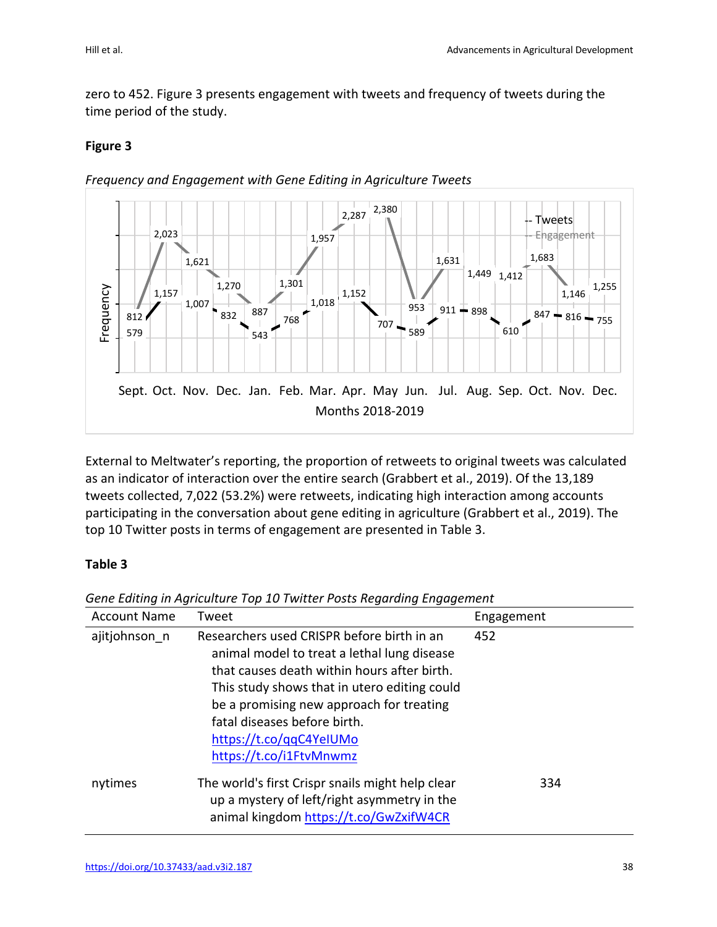zero to 452. Figure 3 presents engagement with tweets and frequency of tweets during the time period of the study.

### **Figure 3**



*Frequency and Engagement with Gene Editing in Agriculture Tweets*

External to Meltwater's reporting, the proportion of retweets to original tweets was calculated as an indicator of interaction over the entire search (Grabbert et al., 2019). Of the 13,189 tweets collected, 7,022 (53.2%) were retweets, indicating high interaction among accounts participating in the conversation about gene editing in agriculture (Grabbert et al., 2019). The top 10 Twitter posts in terms of engagement are presented in Table 3.

### **Table 3**

| <b>Account Name</b> | Tweet                                                                                                                                                                                                                                                                                                                      | Engagement |
|---------------------|----------------------------------------------------------------------------------------------------------------------------------------------------------------------------------------------------------------------------------------------------------------------------------------------------------------------------|------------|
| ajitjohnson n       | Researchers used CRISPR before birth in an<br>animal model to treat a lethal lung disease<br>that causes death within hours after birth.<br>This study shows that in utero editing could<br>be a promising new approach for treating<br>fatal diseases before birth.<br>https://t.co/gqC4YelUMo<br>https://t.co/i1FtvMnwmz | 452        |
| nytimes             | The world's first Crispr snails might help clear<br>up a mystery of left/right asymmetry in the<br>animal kingdom https://t.co/GwZxifW4CR                                                                                                                                                                                  | 334        |

*Gene Editing in Agriculture Top 10 Twitter Posts Regarding Engagement*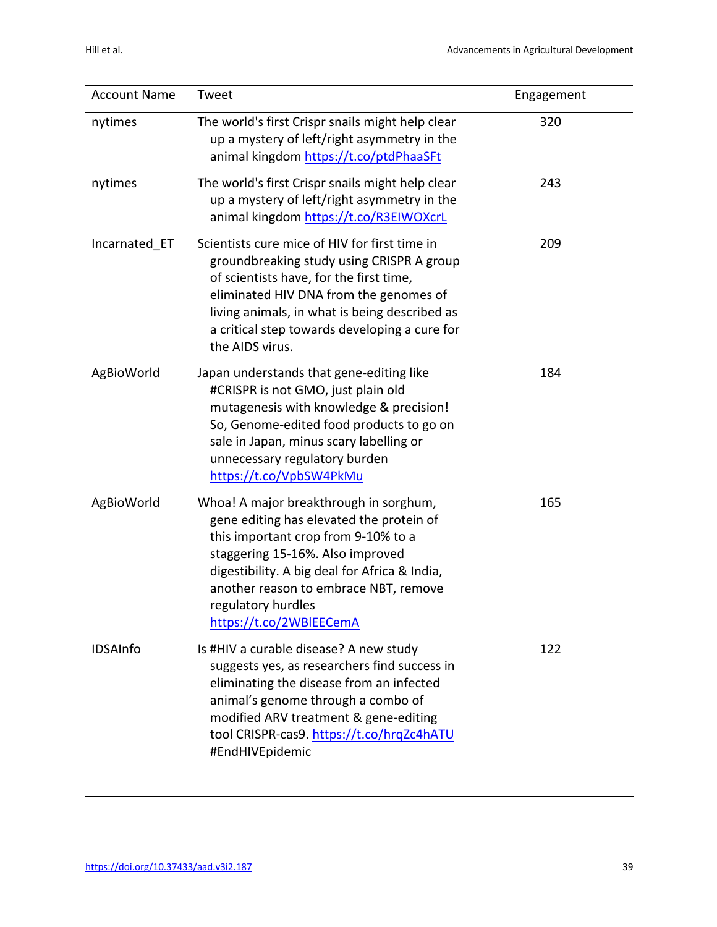| <b>Account Name</b> | Tweet                                                                                                                                                                                                                                                                                                    | Engagement |
|---------------------|----------------------------------------------------------------------------------------------------------------------------------------------------------------------------------------------------------------------------------------------------------------------------------------------------------|------------|
| nytimes             | The world's first Crispr snails might help clear<br>up a mystery of left/right asymmetry in the<br>animal kingdom https://t.co/ptdPhaaSFt                                                                                                                                                                | 320        |
| nytimes             | The world's first Crispr snails might help clear<br>up a mystery of left/right asymmetry in the<br>animal kingdom https://t.co/R3EIWOXcrL                                                                                                                                                                | 243        |
| Incarnated ET       | Scientists cure mice of HIV for first time in<br>groundbreaking study using CRISPR A group<br>of scientists have, for the first time,<br>eliminated HIV DNA from the genomes of<br>living animals, in what is being described as<br>a critical step towards developing a cure for<br>the AIDS virus.     | 209        |
| AgBioWorld          | Japan understands that gene-editing like<br>#CRISPR is not GMO, just plain old<br>mutagenesis with knowledge & precision!<br>So, Genome-edited food products to go on<br>sale in Japan, minus scary labelling or<br>unnecessary regulatory burden<br>https://t.co/VpbSW4PkMu                             | 184        |
| AgBioWorld          | Whoa! A major breakthrough in sorghum,<br>gene editing has elevated the protein of<br>this important crop from 9-10% to a<br>staggering 15-16%. Also improved<br>digestibility. A big deal for Africa & India,<br>another reason to embrace NBT, remove<br>regulatory hurdles<br>https://t.co/2WBlEECemA | 165        |
| <b>IDSAInfo</b>     | Is #HIV a curable disease? A new study<br>suggests yes, as researchers find success in<br>eliminating the disease from an infected<br>animal's genome through a combo of<br>modified ARV treatment & gene-editing<br>tool CRISPR-cas9. https://t.co/hrqZc4hATU<br>#EndHIVEpidemic                        | 122        |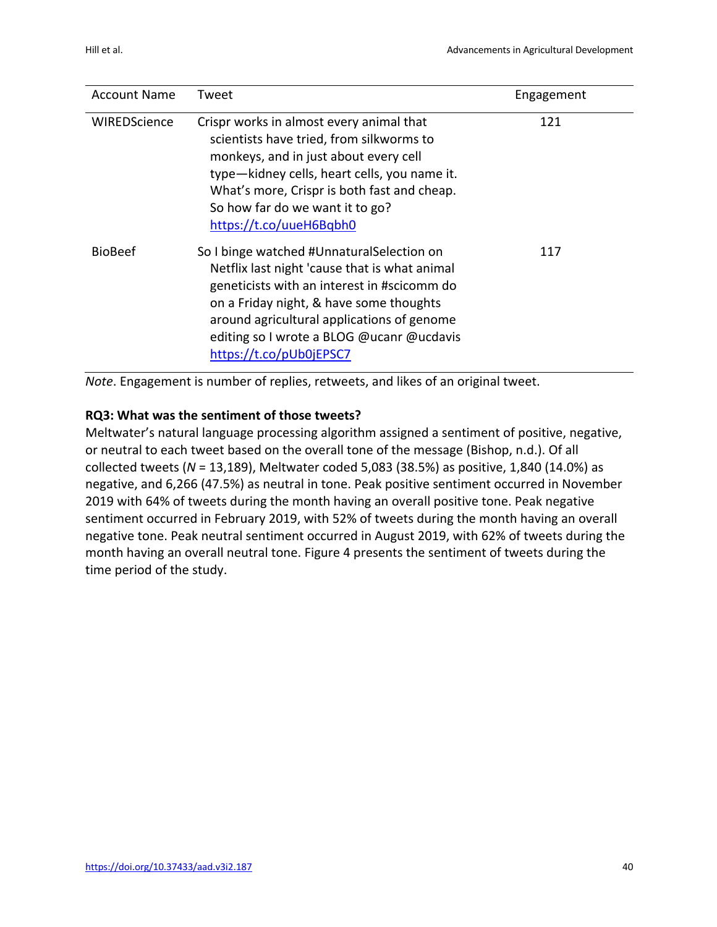| <b>Account Name</b> | Tweet                                                                                                                                                                                                                                                                                                      | Engagement |
|---------------------|------------------------------------------------------------------------------------------------------------------------------------------------------------------------------------------------------------------------------------------------------------------------------------------------------------|------------|
| WIREDScience        | Crispr works in almost every animal that<br>scientists have tried, from silkworms to<br>monkeys, and in just about every cell<br>type-kidney cells, heart cells, you name it.<br>What's more, Crispr is both fast and cheap.<br>So how far do we want it to go?<br>https://t.co/uueH6Bqbh0                 | 121        |
| <b>BioBeef</b>      | So I binge watched #UnnaturalSelection on<br>Netflix last night 'cause that is what animal<br>geneticists with an interest in #scicomm do<br>on a Friday night, & have some thoughts<br>around agricultural applications of genome<br>editing so I wrote a BLOG @ucanr @ucdavis<br>https://t.co/pUb0jEPSC7 | 117        |

*Note*. Engagement is number of replies, retweets, and likes of an original tweet.

### **RQ3: What was the sentiment of those tweets?**

Meltwater's natural language processing algorithm assigned a sentiment of positive, negative, or neutral to each tweet based on the overall tone of the message (Bishop, n.d.). Of all collected tweets (*N* = 13,189), Meltwater coded 5,083 (38.5%) as positive, 1,840 (14.0%) as negative, and 6,266 (47.5%) as neutral in tone. Peak positive sentiment occurred in November 2019 with 64% of tweets during the month having an overall positive tone. Peak negative sentiment occurred in February 2019, with 52% of tweets during the month having an overall negative tone. Peak neutral sentiment occurred in August 2019, with 62% of tweets during the month having an overall neutral tone. Figure 4 presents the sentiment of tweets during the time period of the study.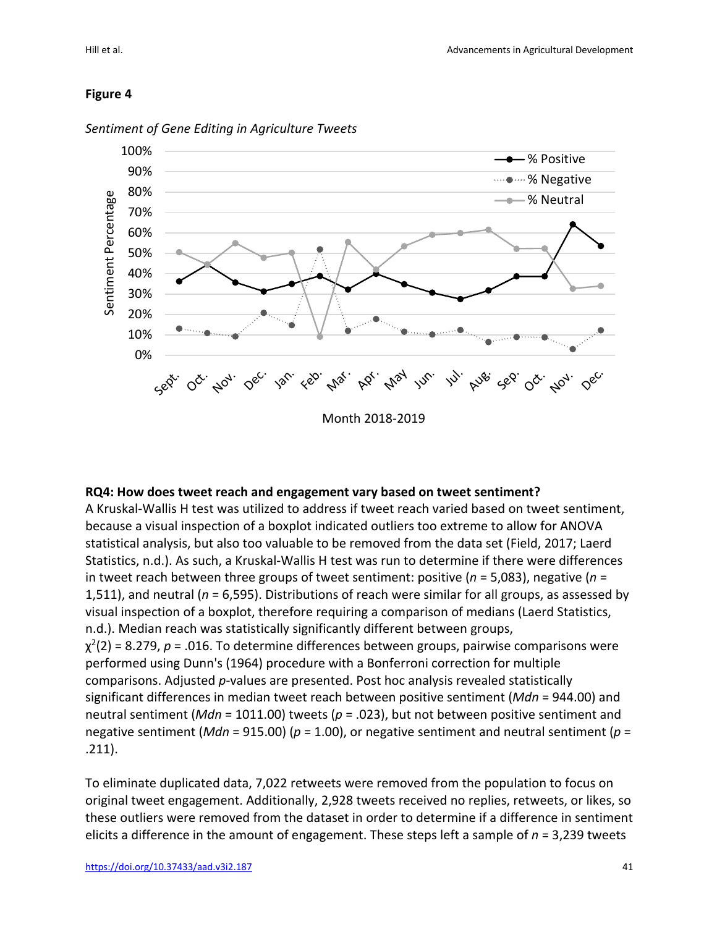#### **Figure 4**



*Sentiment of Gene Editing in Agriculture Tweets* 

#### **RQ4: How does tweet reach and engagement vary based on tweet sentiment?**

A Kruskal-Wallis H test was utilized to address if tweet reach varied based on tweet sentiment, because a visual inspection of a boxplot indicated outliers too extreme to allow for ANOVA statistical analysis, but also too valuable to be removed from the data set (Field, 2017; Laerd Statistics, n.d.). As such, a Kruskal-Wallis H test was run to determine if there were differences in tweet reach between three groups of tweet sentiment: positive (*n* = 5,083), negative (*n* = 1,511), and neutral (*n* = 6,595). Distributions of reach were similar for all groups, as assessed by visual inspection of a boxplot, therefore requiring a comparison of medians (Laerd Statistics, n.d.). Median reach was statistically significantly different between groups,  $\chi^2(2)$  = 8.279,  $p$  = .016. To determine differences between groups, pairwise comparisons were performed using Dunn's (1964) procedure with a Bonferroni correction for multiple comparisons. Adjusted *p*-values are presented. Post hoc analysis revealed statistically significant differences in median tweet reach between positive sentiment (*Mdn* = 944.00) and neutral sentiment (*Mdn* = 1011.00) tweets (*p* = .023), but not between positive sentiment and negative sentiment (*Mdn* = 915.00) (*p* = 1.00), or negative sentiment and neutral sentiment (*p* = .211).

To eliminate duplicated data, 7,022 retweets were removed from the population to focus on original tweet engagement. Additionally, 2,928 tweets received no replies, retweets, or likes, so these outliers were removed from the dataset in order to determine if a difference in sentiment elicits a difference in the amount of engagement. These steps left a sample of *n* = 3,239 tweets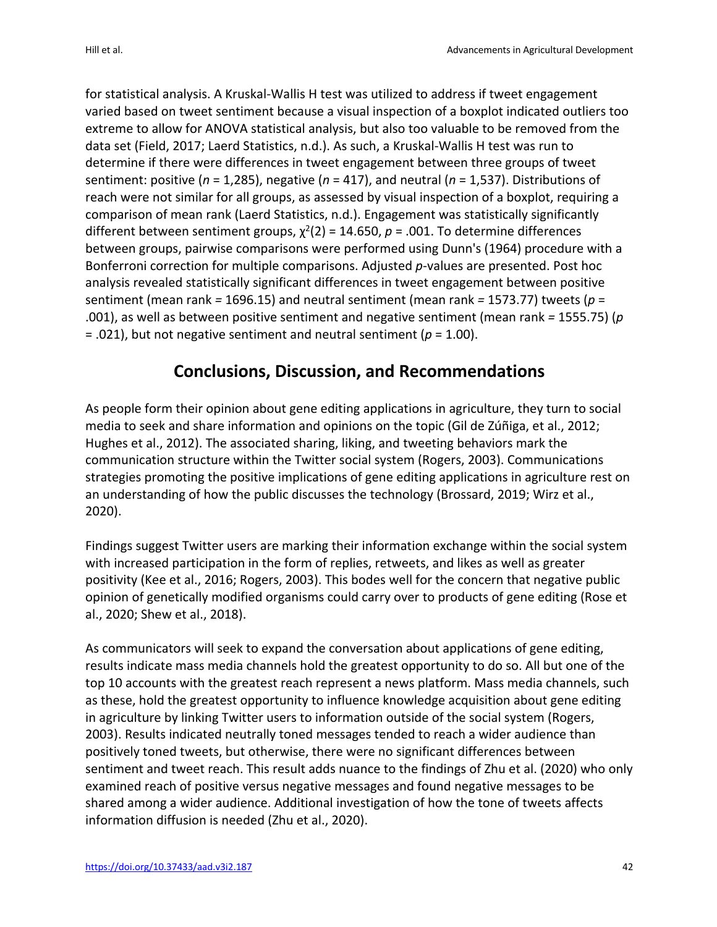for statistical analysis. A Kruskal-Wallis H test was utilized to address if tweet engagement varied based on tweet sentiment because a visual inspection of a boxplot indicated outliers too extreme to allow for ANOVA statistical analysis, but also too valuable to be removed from the data set (Field, 2017; Laerd Statistics, n.d.). As such, a Kruskal-Wallis H test was run to determine if there were differences in tweet engagement between three groups of tweet sentiment: positive (*n* = 1,285), negative (*n* = 417), and neutral (*n* = 1,537). Distributions of reach were not similar for all groups, as assessed by visual inspection of a boxplot, requiring a comparison of mean rank (Laerd Statistics, n.d.). Engagement was statistically significantly different between sentiment groups,  $\chi^2(2)$  = 14.650, p = .001. To determine differences between groups, pairwise comparisons were performed using Dunn's (1964) procedure with a Bonferroni correction for multiple comparisons. Adjusted *p*-values are presented. Post hoc analysis revealed statistically significant differences in tweet engagement between positive sentiment (mean rank *=* 1696.15) and neutral sentiment (mean rank *=* 1573.77) tweets (*p* = .001), as well as between positive sentiment and negative sentiment (mean rank *=* 1555.75) (*p*  $=$  .021), but not negative sentiment and neutral sentiment ( $p = 1.00$ ).

### **Conclusions, Discussion, and Recommendations**

As people form their opinion about gene editing applications in agriculture, they turn to social media to seek and share information and opinions on the topic (Gil de Zúñiga, et al., 2012; Hughes et al., 2012). The associated sharing, liking, and tweeting behaviors mark the communication structure within the Twitter social system (Rogers, 2003). Communications strategies promoting the positive implications of gene editing applications in agriculture rest on an understanding of how the public discusses the technology (Brossard, 2019; Wirz et al., 2020).

Findings suggest Twitter users are marking their information exchange within the social system with increased participation in the form of replies, retweets, and likes as well as greater positivity (Kee et al., 2016; Rogers, 2003). This bodes well for the concern that negative public opinion of genetically modified organisms could carry over to products of gene editing (Rose et al., 2020; Shew et al., 2018).

As communicators will seek to expand the conversation about applications of gene editing, results indicate mass media channels hold the greatest opportunity to do so. All but one of the top 10 accounts with the greatest reach represent a news platform. Mass media channels, such as these, hold the greatest opportunity to influence knowledge acquisition about gene editing in agriculture by linking Twitter users to information outside of the social system (Rogers, 2003). Results indicated neutrally toned messages tended to reach a wider audience than positively toned tweets, but otherwise, there were no significant differences between sentiment and tweet reach. This result adds nuance to the findings of Zhu et al. (2020) who only examined reach of positive versus negative messages and found negative messages to be shared among a wider audience. Additional investigation of how the tone of tweets affects information diffusion is needed (Zhu et al., 2020).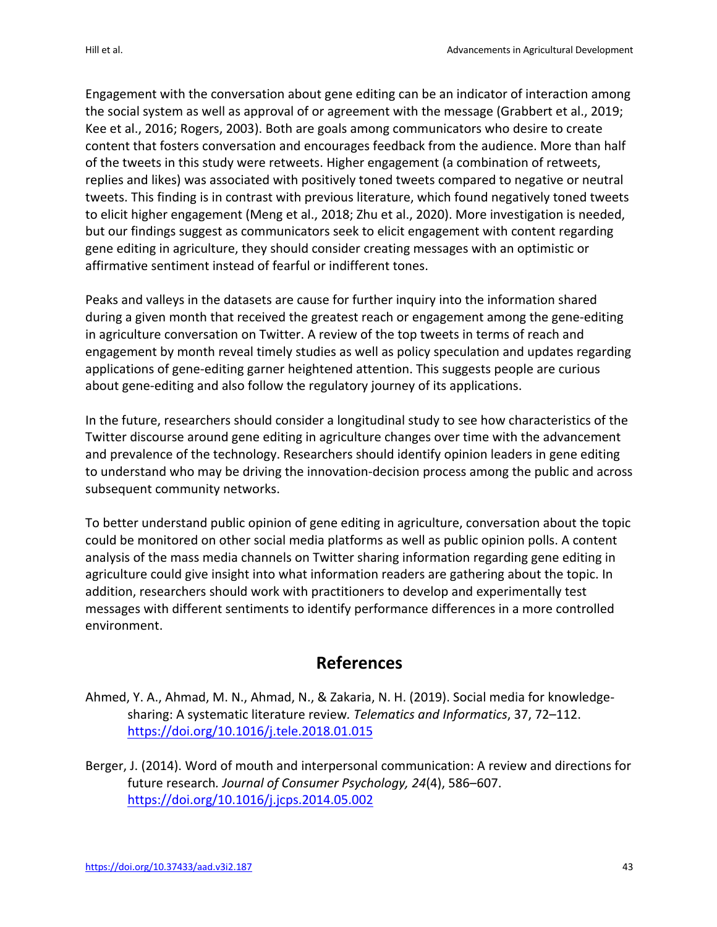Engagement with the conversation about gene editing can be an indicator of interaction among the social system as well as approval of or agreement with the message (Grabbert et al., 2019; Kee et al., 2016; Rogers, 2003). Both are goals among communicators who desire to create content that fosters conversation and encourages feedback from the audience. More than half of the tweets in this study were retweets. Higher engagement (a combination of retweets, replies and likes) was associated with positively toned tweets compared to negative or neutral tweets. This finding is in contrast with previous literature, which found negatively toned tweets to elicit higher engagement (Meng et al., 2018; Zhu et al., 2020). More investigation is needed, but our findings suggest as communicators seek to elicit engagement with content regarding gene editing in agriculture, they should consider creating messages with an optimistic or affirmative sentiment instead of fearful or indifferent tones.

Peaks and valleys in the datasets are cause for further inquiry into the information shared during a given month that received the greatest reach or engagement among the gene-editing in agriculture conversation on Twitter. A review of the top tweets in terms of reach and engagement by month reveal timely studies as well as policy speculation and updates regarding applications of gene-editing garner heightened attention. This suggests people are curious about gene-editing and also follow the regulatory journey of its applications.

In the future, researchers should consider a longitudinal study to see how characteristics of the Twitter discourse around gene editing in agriculture changes over time with the advancement and prevalence of the technology. Researchers should identify opinion leaders in gene editing to understand who may be driving the innovation-decision process among the public and across subsequent community networks.

To better understand public opinion of gene editing in agriculture, conversation about the topic could be monitored on other social media platforms as well as public opinion polls. A content analysis of the mass media channels on Twitter sharing information regarding gene editing in agriculture could give insight into what information readers are gathering about the topic. In addition, researchers should work with practitioners to develop and experimentally test messages with different sentiments to identify performance differences in a more controlled environment.

## **References**

- Ahmed, Y. A., Ahmad, M. N., Ahmad, N., & Zakaria, N. H. (2019). Social media for knowledgesharing: A systematic literature review*. Telematics and Informatics*, 37, 72–112. https://doi.org/10.1016/j.tele.2018.01.015
- Berger, J. (2014). Word of mouth and interpersonal communication: A review and directions for future research*. Journal of Consumer Psychology, 24*(4), 586–607. https://doi.org/10.1016/j.jcps.2014.05.002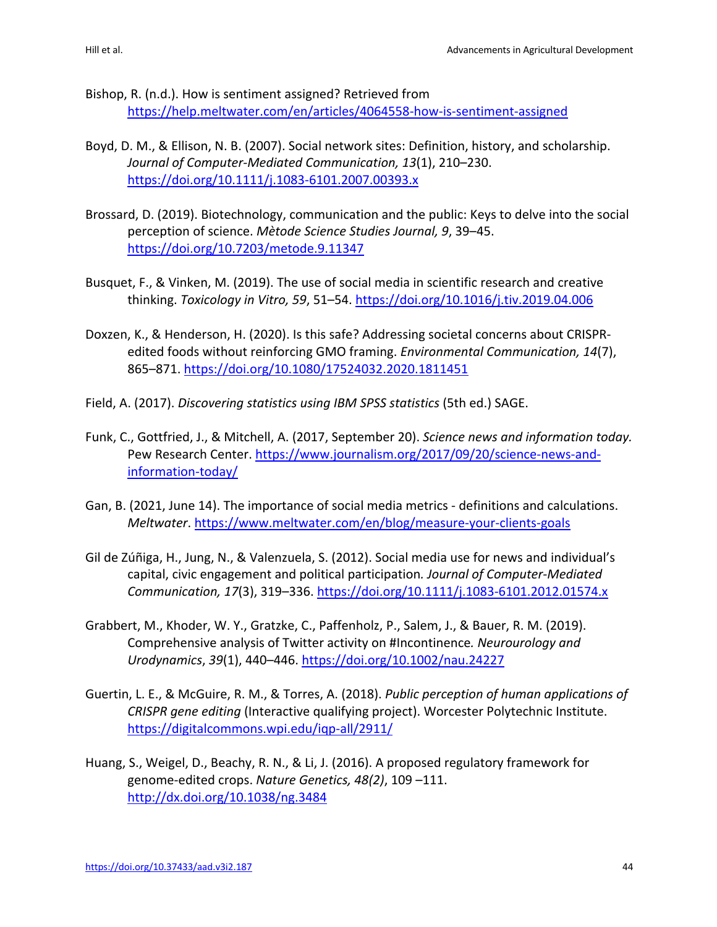- Bishop, R. (n.d.). How is sentiment assigned? Retrieved from https://help.meltwater.com/en/articles/4064558-how-is-sentiment-assigned
- Boyd, D. M., & Ellison, N. B. (2007). Social network sites: Definition, history, and scholarship. *Journal of Computer-Mediated Communication, 13*(1), 210–230. https://doi.org/10.1111/j.1083-6101.2007.00393.x
- Brossard, D. (2019). Biotechnology, communication and the public: Keys to delve into the social perception of science. *Mètode Science Studies Journal, 9*, 39–45. https://doi.org/10.7203/metode.9.11347
- Busquet, F., & Vinken, M. (2019). The use of social media in scientific research and creative thinking. *Toxicology in Vitro, 59*, 51–54. https://doi.org/10.1016/j.tiv.2019.04.006
- Doxzen, K., & Henderson, H. (2020). Is this safe? Addressing societal concerns about CRISPRedited foods without reinforcing GMO framing. *Environmental Communication, 14*(7), 865–871. https://doi.org/10.1080/17524032.2020.1811451
- Field, A. (2017). *Discovering statistics using IBM SPSS statistics* (5th ed.) SAGE.
- Funk, C., Gottfried, J., & Mitchell, A. (2017, September 20). *Science news and information today.*  Pew Research Center. https://www.journalism.org/2017/09/20/science-news-andinformation-today/
- Gan, B. (2021, June 14). The importance of social media metrics definitions and calculations. *Meltwater*. https://www.meltwater.com/en/blog/measure-your-clients-goals
- Gil de Zúñiga, H., Jung, N., & Valenzuela, S. (2012). Social media use for news and individual's capital, civic engagement and political participation*. Journal of Computer-Mediated Communication, 17*(3), 319–336. https://doi.org/10.1111/j.1083-6101.2012.01574.x
- Grabbert, M., Khoder, W. Y., Gratzke, C., Paffenholz, P., Salem, J., & Bauer, R. M. (2019). Comprehensive analysis of Twitter activity on #Incontinence*. Neurourology and Urodynamics*, *39*(1), 440–446. https://doi.org/10.1002/nau.24227
- Guertin, L. E., & McGuire, R. M., & Torres, A. (2018). *Public perception of human applications of CRISPR gene editing* (Interactive qualifying project). Worcester Polytechnic Institute. https://digitalcommons.wpi.edu/iqp-all/2911/
- Huang, S., Weigel, D., Beachy, R. N., & Li, J. (2016). A proposed regulatory framework for genome-edited crops. *Nature Genetics, 48(2)*, 109 –111. http://dx.doi.org/10.1038/ng.3484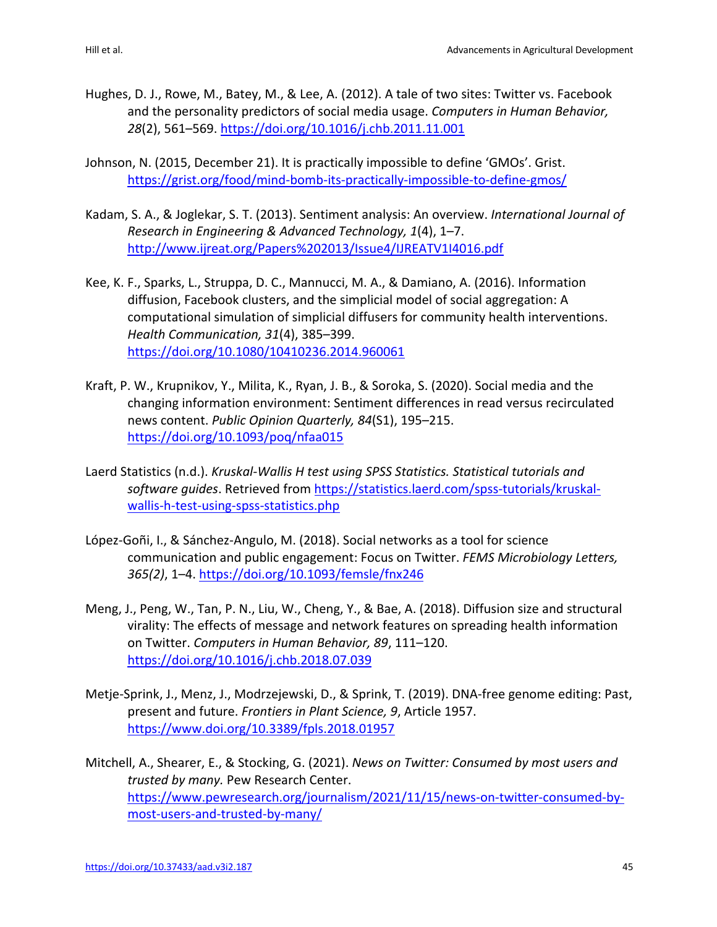- Hughes, D. J., Rowe, M., Batey, M., & Lee, A. (2012). A tale of two sites: Twitter vs. Facebook and the personality predictors of social media usage. *Computers in Human Behavior, 28*(2), 561–569. https://doi.org/10.1016/j.chb.2011.11.001
- Johnson, N. (2015, December 21). It is practically impossible to define 'GMOs'. Grist. https://grist.org/food/mind-bomb-its-practically-impossible-to-define-gmos/
- Kadam, S. A., & Joglekar, S. T. (2013). Sentiment analysis: An overview. *International Journal of Research in Engineering & Advanced Technology, 1*(4), 1–7. http://www.ijreat.org/Papers%202013/Issue4/IJREATV1I4016.pdf
- Kee, K. F., Sparks, L., Struppa, D. C., Mannucci, M. A., & Damiano, A. (2016). Information diffusion, Facebook clusters, and the simplicial model of social aggregation: A computational simulation of simplicial diffusers for community health interventions. *Health Communication, 31*(4), 385–399. https://doi.org/10.1080/10410236.2014.960061
- Kraft, P. W., Krupnikov, Y., Milita, K., Ryan, J. B., & Soroka, S. (2020). Social media and the changing information environment: Sentiment differences in read versus recirculated news content. *Public Opinion Quarterly, 84*(S1), 195–215. https://doi.org/10.1093/poq/nfaa015
- Laerd Statistics (n.d.). *Kruskal-Wallis H test using SPSS Statistics. Statistical tutorials and software guides*. Retrieved from https://statistics.laerd.com/spss-tutorials/kruskalwallis-h-test-using-spss-statistics.php
- López-Goñi, I., & Sánchez-Angulo, M. (2018). Social networks as a tool for science communication and public engagement: Focus on Twitter. *FEMS Microbiology Letters, 365(2)*, 1–4. https://doi.org/10.1093/femsle/fnx246
- Meng, J., Peng, W., Tan, P. N., Liu, W., Cheng, Y., & Bae, A. (2018). Diffusion size and structural virality: The effects of message and network features on spreading health information on Twitter. *Computers in Human Behavior, 89*, 111–120. https://doi.org/10.1016/j.chb.2018.07.039
- Metje-Sprink, J., Menz, J., Modrzejewski, D., & Sprink, T. (2019). DNA-free genome editing: Past, present and future. *Frontiers in Plant Science, 9*, Article 1957. https://www.doi.org/10.3389/fpls.2018.01957
- Mitchell, A., Shearer, E., & Stocking, G. (2021). *News on Twitter: Consumed by most users and trusted by many.* Pew Research Center. https://www.pewresearch.org/journalism/2021/11/15/news-on-twitter-consumed-bymost-users-and-trusted-by-many/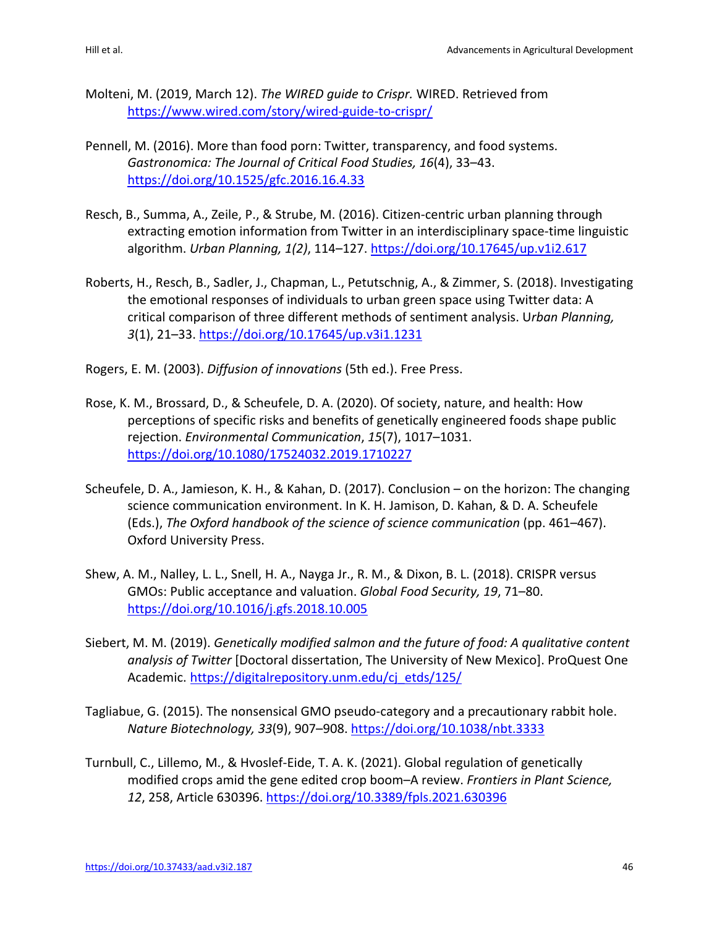- Molteni, M. (2019, March 12). *The WIRED guide to Crispr.* WIRED. Retrieved from https://www.wired.com/story/wired-guide-to-crispr/
- Pennell, M. (2016). More than food porn: Twitter, transparency, and food systems. *Gastronomica: The Journal of Critical Food Studies, 16*(4), 33–43. https://doi.org/10.1525/gfc.2016.16.4.33
- Resch, B., Summa, A., Zeile, P., & Strube, M. (2016). Citizen-centric urban planning through extracting emotion information from Twitter in an interdisciplinary space-time linguistic algorithm. *Urban Planning, 1(2)*, 114–127. https://doi.org/10.17645/up.v1i2.617
- Roberts, H., Resch, B., Sadler, J., Chapman, L., Petutschnig, A., & Zimmer, S. (2018). Investigating the emotional responses of individuals to urban green space using Twitter data: A critical comparison of three different methods of sentiment analysis. U*rban Planning, 3*(1), 21–33. https://doi.org/10.17645/up.v3i1.1231
- Rogers, E. M. (2003). *Diffusion of innovations* (5th ed.). Free Press.
- Rose, K. M., Brossard, D., & Scheufele, D. A. (2020). Of society, nature, and health: How perceptions of specific risks and benefits of genetically engineered foods shape public rejection. *Environmental Communication*, *15*(7), 1017–1031. https://doi.org/10.1080/17524032.2019.1710227
- Scheufele, D. A., Jamieson, K. H., & Kahan, D. (2017). Conclusion on the horizon: The changing science communication environment. In K. H. Jamison, D. Kahan, & D. A. Scheufele (Eds.), *The Oxford handbook of the science of science communication* (pp. 461–467). Oxford University Press.
- Shew, A. M., Nalley, L. L., Snell, H. A., Nayga Jr., R. M., & Dixon, B. L. (2018). CRISPR versus GMOs: Public acceptance and valuation. *Global Food Security, 19*, 71–80. https://doi.org/10.1016/j.gfs.2018.10.005
- Siebert, M. M. (2019). *Genetically modified salmon and the future of food: A qualitative content analysis of Twitter* [Doctoral dissertation, The University of New Mexico]. ProQuest One Academic. https://digitalrepository.unm.edu/cj\_etds/125/
- Tagliabue, G. (2015). The nonsensical GMO pseudo-category and a precautionary rabbit hole. *Nature Biotechnology, 33*(9), 907–908. https://doi.org/10.1038/nbt.3333
- Turnbull, C., Lillemo, M., & Hvoslef-Eide, T. A. K. (2021). Global regulation of genetically modified crops amid the gene edited crop boom–A review. *Frontiers in Plant Science, 12*, 258, Article 630396. https://doi.org/10.3389/fpls.2021.630396